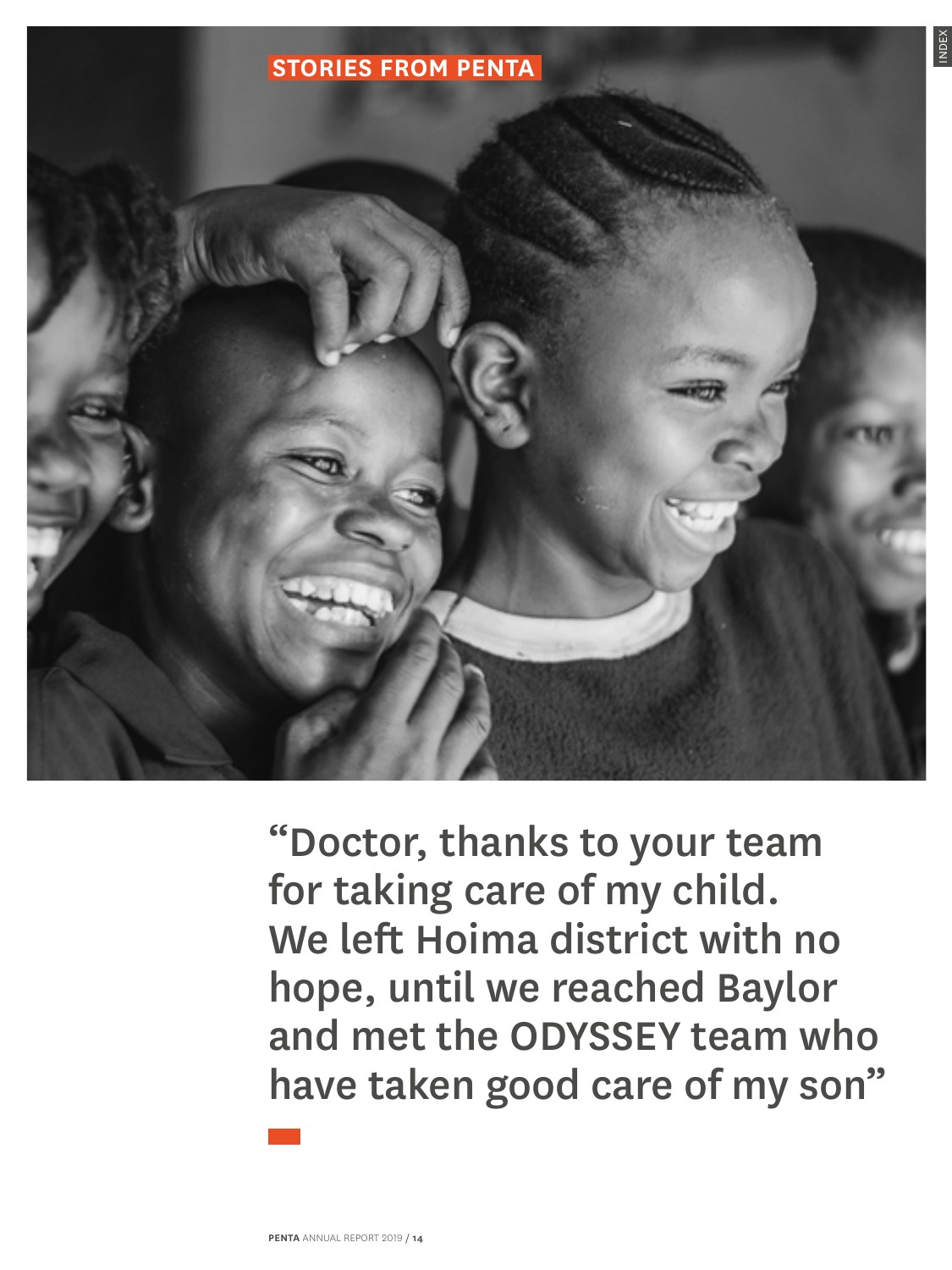<span id="page-0-0"></span>

"Doctor, thanks to your team for taking care of my child. We left Hoima district with no hope, until we reached Baylor and met the ODYSSEY team who have taken good care of my son"